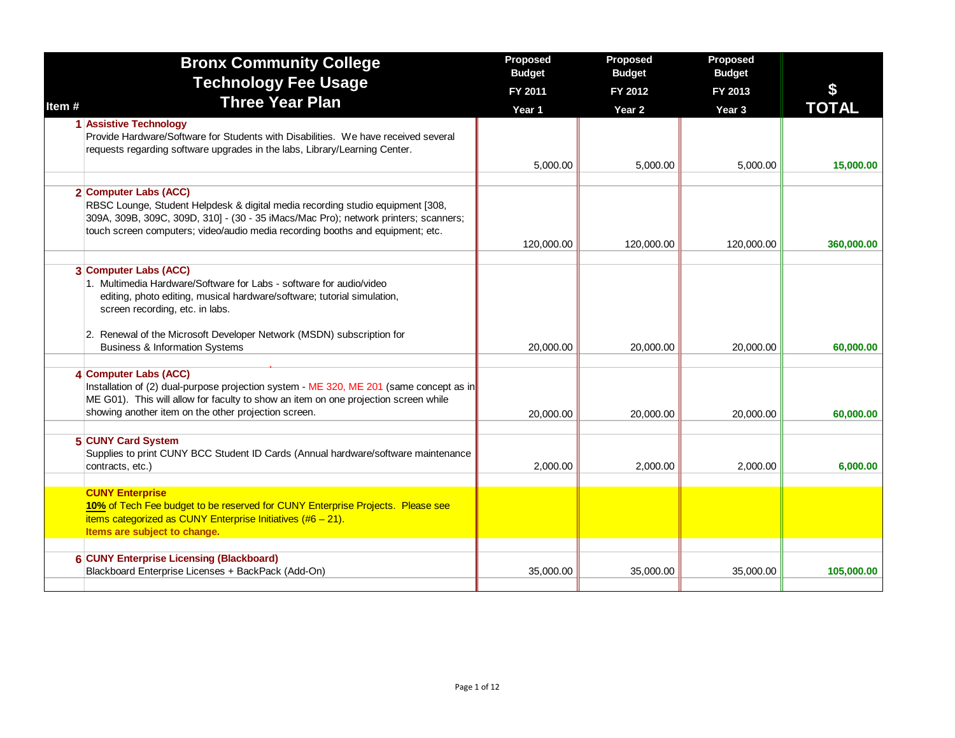|       | <b>Bronx Community College</b>                                                                                                                                                                                                                                                                                                   | Proposed<br><b>Budget</b> | Proposed<br><b>Budget</b> | Proposed<br><b>Budget</b> |              |
|-------|----------------------------------------------------------------------------------------------------------------------------------------------------------------------------------------------------------------------------------------------------------------------------------------------------------------------------------|---------------------------|---------------------------|---------------------------|--------------|
|       | <b>Technology Fee Usage</b>                                                                                                                                                                                                                                                                                                      | FY 2011                   | FY 2012                   | FY 2013                   |              |
| Item# | <b>Three Year Plan</b>                                                                                                                                                                                                                                                                                                           | Year 1                    | Year <sub>2</sub>         | Year 3                    | <b>TOTAL</b> |
|       | 1 Assistive Technology<br>Provide Hardware/Software for Students with Disabilities. We have received several<br>requests regarding software upgrades in the labs, Library/Learning Center.                                                                                                                                       | 5,000.00                  | 5,000.00                  | 5,000.00                  | 15,000.00    |
|       | 2 Computer Labs (ACC)<br>RBSC Lounge, Student Helpdesk & digital media recording studio equipment [308,<br>309A, 309B, 309C, 309D, 310] - (30 - 35 iMacs/Mac Pro); network printers; scanners;<br>touch screen computers; video/audio media recording booths and equipment; etc.                                                 | 120,000.00                | 120,000.00                | 120,000.00                | 360,000.00   |
|       | 3 Computer Labs (ACC)<br>1. Multimedia Hardware/Software for Labs - software for audio/video<br>editing, photo editing, musical hardware/software; tutorial simulation,<br>screen recording, etc. in labs.<br>2. Renewal of the Microsoft Developer Network (MSDN) subscription for<br><b>Business &amp; Information Systems</b> | 20,000.00                 | 20,000.00                 | 20,000.00                 | 60,000.00    |
|       | 4 Computer Labs (ACC)<br>Installation of (2) dual-purpose projection system - ME 320, ME 201 (same concept as in<br>ME G01). This will allow for faculty to show an item on one projection screen while<br>showing another item on the other projection screen.                                                                  | 20,000.00                 | 20,000.00                 | 20,000.00                 | 60,000.00    |
|       | 5 CUNY Card System<br>Supplies to print CUNY BCC Student ID Cards (Annual hardware/software maintenance<br>contracts, etc.)                                                                                                                                                                                                      | 2,000.00                  | 2,000.00                  | 2,000.00                  | 6,000.00     |
|       | <b>CUNY Enterprise</b><br>10% of Tech Fee budget to be reserved for CUNY Enterprise Projects. Please see<br>items categorized as CUNY Enterprise Initiatives $(\#6 - 21)$ .<br>Items are subject to change.                                                                                                                      |                           |                           |                           |              |
|       | <b>6 CUNY Enterprise Licensing (Blackboard)</b><br>Blackboard Enterprise Licenses + BackPack (Add-On)                                                                                                                                                                                                                            | 35,000.00                 | 35,000.00                 | 35,000.00                 | 105,000.00   |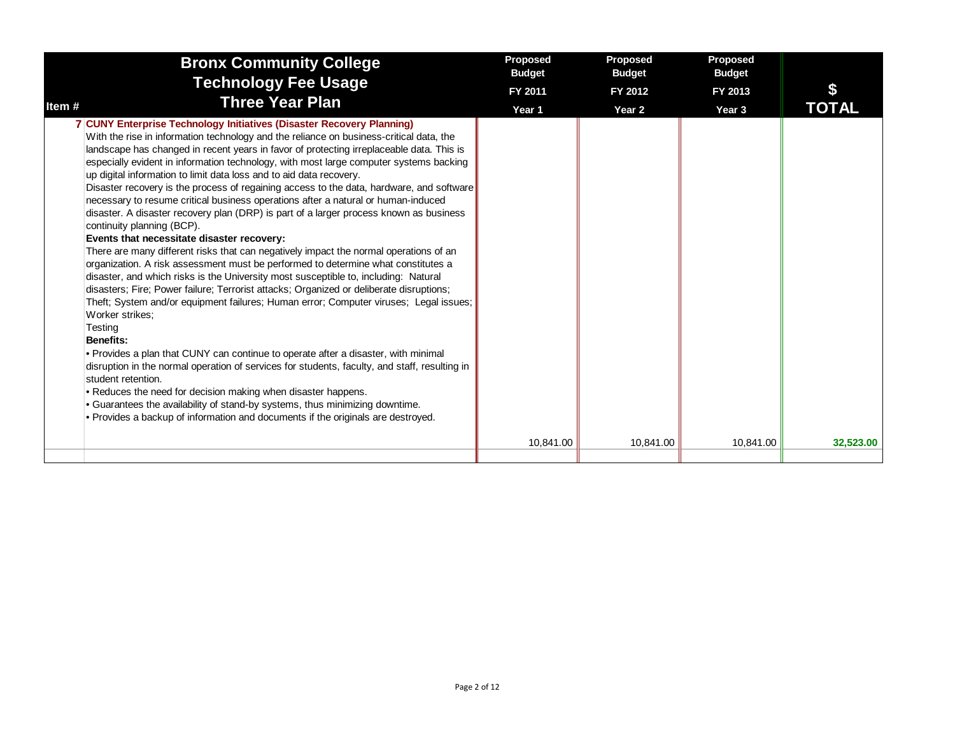|                             | <b>Bronx Community College</b>                                                                                                                                                                                                                                                                                                                                                                                                                                                                                                                                                                                                                                                                                                                                                                                                                                                                                                                                                                                                                                                                                                                                                                                                                                                                                                                                                                                                                                                                                                                                                                                                                                                                                     | Proposed<br><b>Budget</b> | Proposed<br><b>Budget</b> | Proposed<br><b>Budget</b> |           |
|-----------------------------|--------------------------------------------------------------------------------------------------------------------------------------------------------------------------------------------------------------------------------------------------------------------------------------------------------------------------------------------------------------------------------------------------------------------------------------------------------------------------------------------------------------------------------------------------------------------------------------------------------------------------------------------------------------------------------------------------------------------------------------------------------------------------------------------------------------------------------------------------------------------------------------------------------------------------------------------------------------------------------------------------------------------------------------------------------------------------------------------------------------------------------------------------------------------------------------------------------------------------------------------------------------------------------------------------------------------------------------------------------------------------------------------------------------------------------------------------------------------------------------------------------------------------------------------------------------------------------------------------------------------------------------------------------------------------------------------------------------------|---------------------------|---------------------------|---------------------------|-----------|
|                             | <b>Technology Fee Usage</b>                                                                                                                                                                                                                                                                                                                                                                                                                                                                                                                                                                                                                                                                                                                                                                                                                                                                                                                                                                                                                                                                                                                                                                                                                                                                                                                                                                                                                                                                                                                                                                                                                                                                                        | FY 2011                   | FY 2012                   | FY 2013                   |           |
| Item#                       | <b>Three Year Plan</b>                                                                                                                                                                                                                                                                                                                                                                                                                                                                                                                                                                                                                                                                                                                                                                                                                                                                                                                                                                                                                                                                                                                                                                                                                                                                                                                                                                                                                                                                                                                                                                                                                                                                                             | Year 1                    | Year 2                    | Year 3                    | TOTAL     |
| Testing<br><b>Benefits:</b> | 7 CUNY Enterprise Technology Initiatives (Disaster Recovery Planning)<br>With the rise in information technology and the reliance on business-critical data, the<br>landscape has changed in recent years in favor of protecting irreplaceable data. This is<br>especially evident in information technology, with most large computer systems backing<br>up digital information to limit data loss and to aid data recovery.<br>Disaster recovery is the process of regaining access to the data, hardware, and software<br>necessary to resume critical business operations after a natural or human-induced<br>disaster. A disaster recovery plan (DRP) is part of a larger process known as business<br>continuity planning (BCP).<br>Events that necessitate disaster recovery:<br>There are many different risks that can negatively impact the normal operations of an<br>organization. A risk assessment must be performed to determine what constitutes a<br>disaster, and which risks is the University most susceptible to, including: Natural<br>disasters; Fire; Power failure; Terrorist attacks; Organized or deliberate disruptions;<br>Theft; System and/or equipment failures; Human error; Computer viruses; Legal issues;<br>Worker strikes:<br>• Provides a plan that CUNY can continue to operate after a disaster, with minimal<br>disruption in the normal operation of services for students, faculty, and staff, resulting in<br>student retention.<br>. Reduces the need for decision making when disaster happens.<br>• Guarantees the availability of stand-by systems, thus minimizing downtime.<br>. Provides a backup of information and documents if the originals are destroyed. |                           |                           |                           |           |
|                             |                                                                                                                                                                                                                                                                                                                                                                                                                                                                                                                                                                                                                                                                                                                                                                                                                                                                                                                                                                                                                                                                                                                                                                                                                                                                                                                                                                                                                                                                                                                                                                                                                                                                                                                    | 10,841.00                 | 10,841.00                 | 10,841.00                 | 32,523.00 |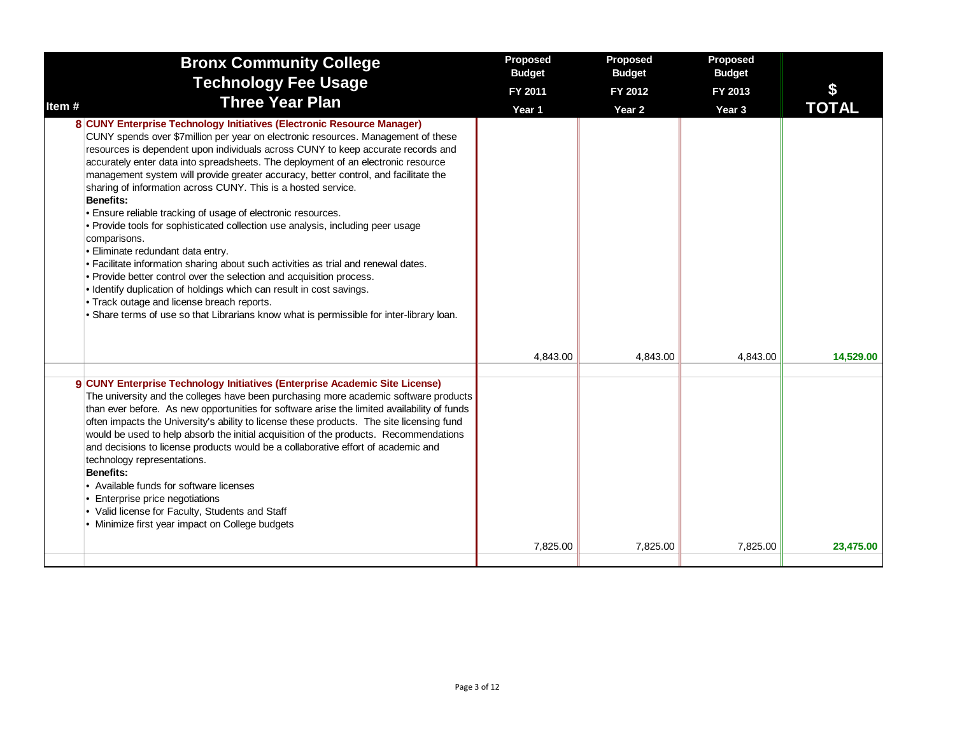| <b>Bronx Community College</b>                                                                                                                                                                                                                                                                                                                                                                                                                                                                                                                                                                                                                                                                                                                                                                                                                                                                                                                                                                                                                                                                           | Proposed<br><b>Budget</b> | Proposed<br><b>Budget</b> | Proposed<br><b>Budget</b> |              |
|----------------------------------------------------------------------------------------------------------------------------------------------------------------------------------------------------------------------------------------------------------------------------------------------------------------------------------------------------------------------------------------------------------------------------------------------------------------------------------------------------------------------------------------------------------------------------------------------------------------------------------------------------------------------------------------------------------------------------------------------------------------------------------------------------------------------------------------------------------------------------------------------------------------------------------------------------------------------------------------------------------------------------------------------------------------------------------------------------------|---------------------------|---------------------------|---------------------------|--------------|
| <b>Technology Fee Usage</b>                                                                                                                                                                                                                                                                                                                                                                                                                                                                                                                                                                                                                                                                                                                                                                                                                                                                                                                                                                                                                                                                              | FY 2011                   | FY 2012                   | FY 2013                   |              |
| <b>Three Year Plan</b><br>Item#                                                                                                                                                                                                                                                                                                                                                                                                                                                                                                                                                                                                                                                                                                                                                                                                                                                                                                                                                                                                                                                                          | Year 1                    | Year 2                    | Year 3                    | <b>TOTAL</b> |
| 8 CUNY Enterprise Technology Initiatives (Electronic Resource Manager)<br>CUNY spends over \$7million per year on electronic resources. Management of these<br>resources is dependent upon individuals across CUNY to keep accurate records and<br>accurately enter data into spreadsheets. The deployment of an electronic resource<br>management system will provide greater accuracy, better control, and facilitate the<br>sharing of information across CUNY. This is a hosted service.<br><b>Benefits:</b><br>· Ensure reliable tracking of usage of electronic resources.<br>• Provide tools for sophisticated collection use analysis, including peer usage<br>comparisons.<br>· Eliminate redundant data entry.<br>. Facilitate information sharing about such activities as trial and renewal dates.<br>. Provide better control over the selection and acquisition process.<br>. Identify duplication of holdings which can result in cost savings.<br>. Track outage and license breach reports.<br>. Share terms of use so that Librarians know what is permissible for inter-library loan. |                           |                           |                           |              |
|                                                                                                                                                                                                                                                                                                                                                                                                                                                                                                                                                                                                                                                                                                                                                                                                                                                                                                                                                                                                                                                                                                          | 4,843.00                  | 4,843.00                  | 4,843.00                  | 14,529.00    |
| 9 CUNY Enterprise Technology Initiatives (Enterprise Academic Site License)<br>The university and the colleges have been purchasing more academic software products<br>than ever before. As new opportunities for software arise the limited availability of funds<br>often impacts the University's ability to license these products. The site licensing fund<br>would be used to help absorb the initial acquisition of the products. Recommendations<br>and decisions to license products would be a collaborative effort of academic and<br>technology representations.<br><b>Benefits:</b><br>• Available funds for software licenses<br>• Enterprise price negotiations<br>• Valid license for Faculty, Students and Staff<br>• Minimize first year impact on College budgets                                                                                                                                                                                                                                                                                                                     |                           |                           |                           |              |
|                                                                                                                                                                                                                                                                                                                                                                                                                                                                                                                                                                                                                                                                                                                                                                                                                                                                                                                                                                                                                                                                                                          | 7,825.00                  | 7,825.00                  | 7,825.00                  | 23,475.00    |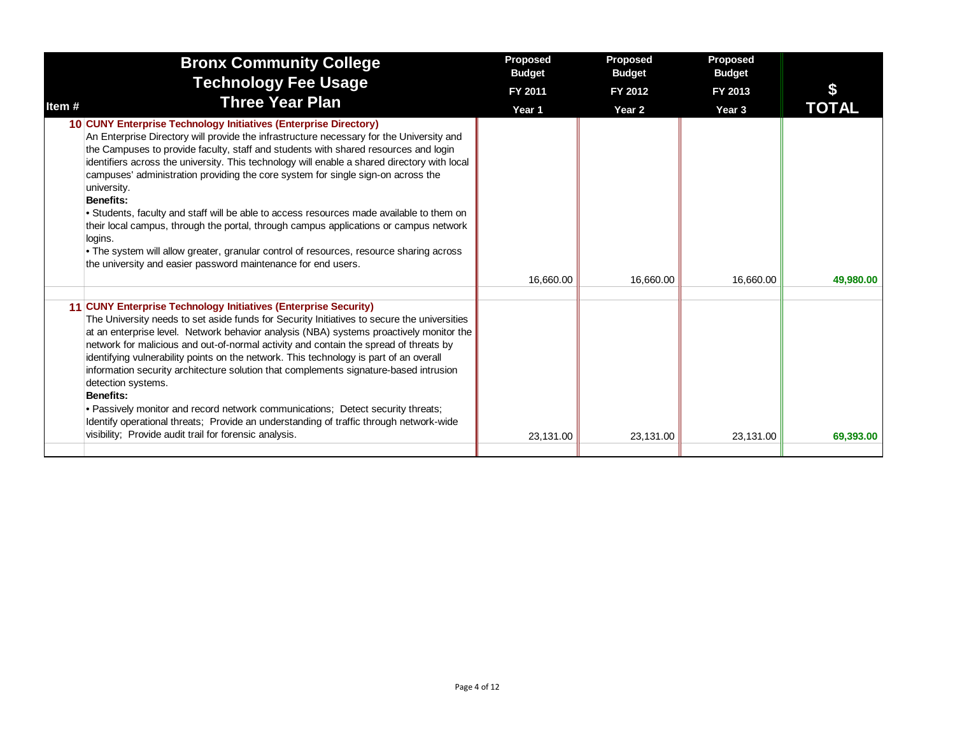| <b>Bronx Community College</b>                                                                                                                                                                                                                                                                                                                                                                                                                                                                                                                                                                                                                                                                                                                                                                                                  | Proposed<br><b>Budget</b> | Proposed<br><b>Budget</b> | Proposed<br><b>Budget</b> |           |
|---------------------------------------------------------------------------------------------------------------------------------------------------------------------------------------------------------------------------------------------------------------------------------------------------------------------------------------------------------------------------------------------------------------------------------------------------------------------------------------------------------------------------------------------------------------------------------------------------------------------------------------------------------------------------------------------------------------------------------------------------------------------------------------------------------------------------------|---------------------------|---------------------------|---------------------------|-----------|
| <b>Technology Fee Usage</b>                                                                                                                                                                                                                                                                                                                                                                                                                                                                                                                                                                                                                                                                                                                                                                                                     | FY 2011                   | FY 2012                   | FY 2013                   |           |
| <b>Three Year Plan</b><br>Item #                                                                                                                                                                                                                                                                                                                                                                                                                                                                                                                                                                                                                                                                                                                                                                                                | Year 1                    | Year 2                    | Year <sub>3</sub>         | TOTAL     |
| 10 CUNY Enterprise Technology Initiatives (Enterprise Directory)<br>An Enterprise Directory will provide the infrastructure necessary for the University and<br>the Campuses to provide faculty, staff and students with shared resources and login<br>identifiers across the university. This technology will enable a shared directory with local<br>campuses' administration providing the core system for single sign-on across the<br>university.<br>Benefits:<br>• Students, faculty and staff will be able to access resources made available to them on<br>their local campus, through the portal, through campus applications or campus network<br>logins.<br>• The system will allow greater, granular control of resources, resource sharing across<br>the university and easier password maintenance for end users. |                           |                           |                           |           |
|                                                                                                                                                                                                                                                                                                                                                                                                                                                                                                                                                                                                                                                                                                                                                                                                                                 | 16.660.00                 | 16,660.00                 | 16.660.00                 | 49,980.00 |
| 11 CUNY Enterprise Technology Initiatives (Enterprise Security)<br>The University needs to set aside funds for Security Initiatives to secure the universities<br>at an enterprise level. Network behavior analysis (NBA) systems proactively monitor the<br>network for malicious and out-of-normal activity and contain the spread of threats by<br>identifying vulnerability points on the network. This technology is part of an overall<br>information security architecture solution that complements signature-based intrusion<br>detection systems.<br>Benefits:<br>• Passively monitor and record network communications; Detect security threats;<br>Identify operational threats; Provide an understanding of traffic through network-wide<br>visibility; Provide audit trail for forensic analysis.                 | 23,131.00                 | 23,131.00                 | 23,131.00                 | 69,393.00 |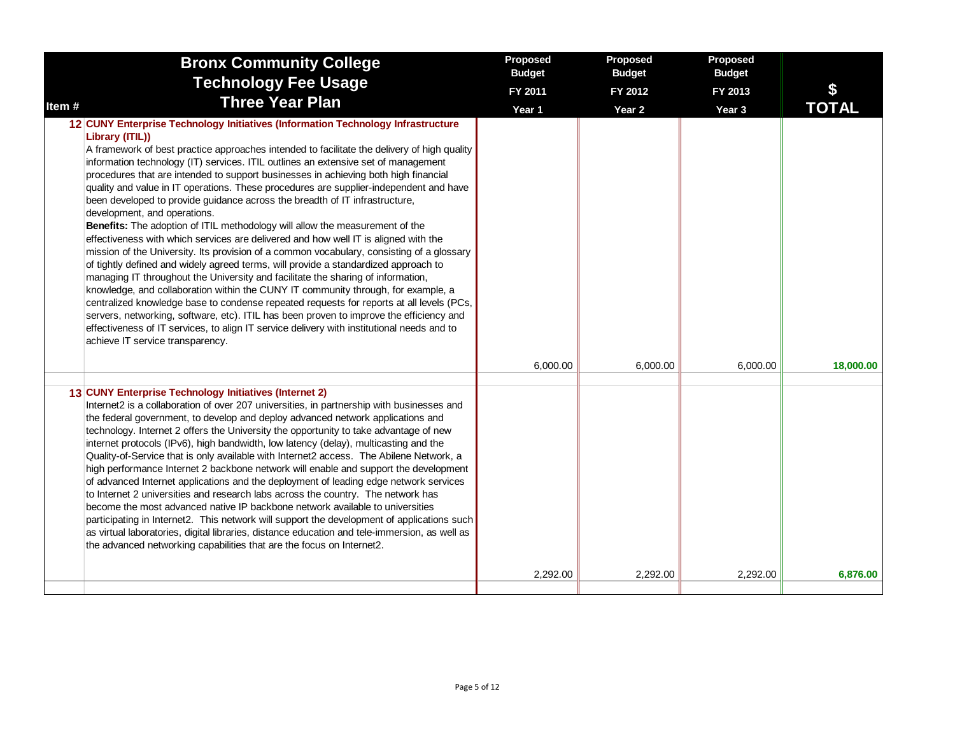|        | <b>Bronx Community College</b>                                                                                                                                                                                                                                                                                                                                                                                                                                                                                                                                                                                                                                                                                                                                                                                                                                                                                                                                                                                                                                                                                                                                                                                                                                                                                                                                                                                                                        | Proposed<br><b>Budget</b> | Proposed<br><b>Budget</b> | Proposed<br><b>Budget</b> |              |
|--------|-------------------------------------------------------------------------------------------------------------------------------------------------------------------------------------------------------------------------------------------------------------------------------------------------------------------------------------------------------------------------------------------------------------------------------------------------------------------------------------------------------------------------------------------------------------------------------------------------------------------------------------------------------------------------------------------------------------------------------------------------------------------------------------------------------------------------------------------------------------------------------------------------------------------------------------------------------------------------------------------------------------------------------------------------------------------------------------------------------------------------------------------------------------------------------------------------------------------------------------------------------------------------------------------------------------------------------------------------------------------------------------------------------------------------------------------------------|---------------------------|---------------------------|---------------------------|--------------|
|        | <b>Technology Fee Usage</b>                                                                                                                                                                                                                                                                                                                                                                                                                                                                                                                                                                                                                                                                                                                                                                                                                                                                                                                                                                                                                                                                                                                                                                                                                                                                                                                                                                                                                           | FY 2011                   | FY 2012                   | FY 2013                   | \$           |
| Item # | <b>Three Year Plan</b>                                                                                                                                                                                                                                                                                                                                                                                                                                                                                                                                                                                                                                                                                                                                                                                                                                                                                                                                                                                                                                                                                                                                                                                                                                                                                                                                                                                                                                | Year 1                    | Year 2                    | Year 3                    | <b>TOTAL</b> |
|        | 12 CUNY Enterprise Technology Initiatives (Information Technology Infrastructure<br>Library (ITIL))<br>A framework of best practice approaches intended to facilitate the delivery of high quality<br>information technology (IT) services. ITIL outlines an extensive set of management<br>procedures that are intended to support businesses in achieving both high financial<br>quality and value in IT operations. These procedures are supplier-independent and have<br>been developed to provide guidance across the breadth of IT infrastructure,<br>development, and operations.<br>Benefits: The adoption of ITIL methodology will allow the measurement of the<br>effectiveness with which services are delivered and how well IT is aligned with the<br>mission of the University. Its provision of a common vocabulary, consisting of a glossary<br>of tightly defined and widely agreed terms, will provide a standardized approach to<br>managing IT throughout the University and facilitate the sharing of information,<br>knowledge, and collaboration within the CUNY IT community through, for example, a<br>centralized knowledge base to condense repeated requests for reports at all levels (PCs,<br>servers, networking, software, etc). ITIL has been proven to improve the efficiency and<br>effectiveness of IT services, to align IT service delivery with institutional needs and to<br>achieve IT service transparency. |                           |                           |                           |              |
|        |                                                                                                                                                                                                                                                                                                                                                                                                                                                                                                                                                                                                                                                                                                                                                                                                                                                                                                                                                                                                                                                                                                                                                                                                                                                                                                                                                                                                                                                       | 6,000.00                  | 6,000.00                  | 6,000.00                  | 18,000.00    |
|        | 13 CUNY Enterprise Technology Initiatives (Internet 2)<br>Internet2 is a collaboration of over 207 universities, in partnership with businesses and<br>the federal government, to develop and deploy advanced network applications and<br>technology. Internet 2 offers the University the opportunity to take advantage of new<br>internet protocols (IPv6), high bandwidth, low latency (delay), multicasting and the<br>Quality-of-Service that is only available with Internet2 access. The Abilene Network, a<br>high performance Internet 2 backbone network will enable and support the development<br>of advanced Internet applications and the deployment of leading edge network services<br>to Internet 2 universities and research labs across the country. The network has<br>become the most advanced native IP backbone network available to universities<br>participating in Internet2. This network will support the development of applications such<br>as virtual laboratories, digital libraries, distance education and tele-immersion, as well as<br>the advanced networking capabilities that are the focus on Internet2.                                                                                                                                                                                                                                                                                                      |                           |                           |                           |              |
|        |                                                                                                                                                                                                                                                                                                                                                                                                                                                                                                                                                                                                                                                                                                                                                                                                                                                                                                                                                                                                                                                                                                                                                                                                                                                                                                                                                                                                                                                       | 2,292.00                  | 2,292.00                  | 2,292.00                  | 6,876.00     |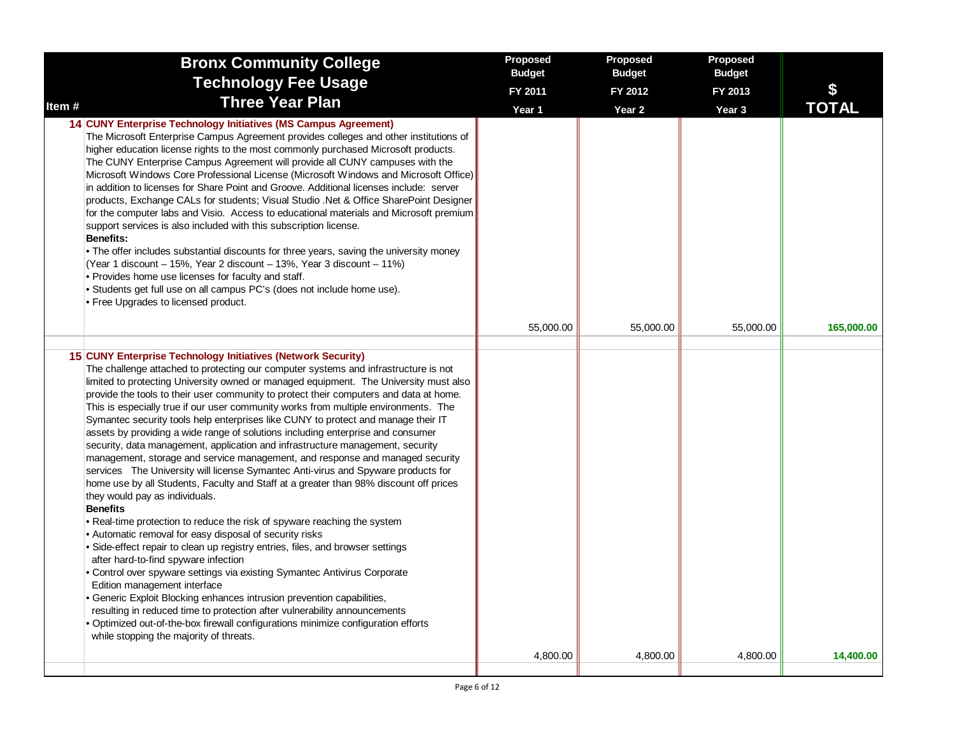| <b>Bronx Community College</b>                                                                                                                                                                                                                                                                                                                                                                                                                                                                                                                                                                                                                                                                                                                                                                                                                                                                                                                                                                                                                                                                                                                                                                                                                                                                                                                                                                                                                                                                                                                                                                                                                                                   | Proposed<br><b>Budget</b> | Proposed<br><b>Budget</b> | Proposed<br><b>Budget</b> |              |
|----------------------------------------------------------------------------------------------------------------------------------------------------------------------------------------------------------------------------------------------------------------------------------------------------------------------------------------------------------------------------------------------------------------------------------------------------------------------------------------------------------------------------------------------------------------------------------------------------------------------------------------------------------------------------------------------------------------------------------------------------------------------------------------------------------------------------------------------------------------------------------------------------------------------------------------------------------------------------------------------------------------------------------------------------------------------------------------------------------------------------------------------------------------------------------------------------------------------------------------------------------------------------------------------------------------------------------------------------------------------------------------------------------------------------------------------------------------------------------------------------------------------------------------------------------------------------------------------------------------------------------------------------------------------------------|---------------------------|---------------------------|---------------------------|--------------|
| <b>Technology Fee Usage</b>                                                                                                                                                                                                                                                                                                                                                                                                                                                                                                                                                                                                                                                                                                                                                                                                                                                                                                                                                                                                                                                                                                                                                                                                                                                                                                                                                                                                                                                                                                                                                                                                                                                      | FY 2011                   | FY 2012                   | FY 2013                   | \$           |
| <b>Three Year Plan</b><br>Item #                                                                                                                                                                                                                                                                                                                                                                                                                                                                                                                                                                                                                                                                                                                                                                                                                                                                                                                                                                                                                                                                                                                                                                                                                                                                                                                                                                                                                                                                                                                                                                                                                                                 | Year 1                    | Year <sub>2</sub>         | Year <sub>3</sub>         | <b>TOTAL</b> |
| 14 CUNY Enterprise Technology Initiatives (MS Campus Agreement)<br>The Microsoft Enterprise Campus Agreement provides colleges and other institutions of<br>higher education license rights to the most commonly purchased Microsoft products.<br>The CUNY Enterprise Campus Agreement will provide all CUNY campuses with the<br>Microsoft Windows Core Professional License (Microsoft Windows and Microsoft Office)<br>in addition to licenses for Share Point and Groove. Additional licenses include: server<br>products, Exchange CALs for students; Visual Studio .Net & Office SharePoint Designer<br>for the computer labs and Visio. Access to educational materials and Microsoft premium<br>support services is also included with this subscription license.<br><b>Benefits:</b><br>• The offer includes substantial discounts for three years, saving the university money<br>(Year 1 discount – 15%, Year 2 discount – 13%, Year 3 discount – 11%)<br>• Provides home use licenses for faculty and staff.<br>• Students get full use on all campus PC's (does not include home use).<br>• Free Upgrades to licensed product.                                                                                                                                                                                                                                                                                                                                                                                                                                                                                                                                      |                           |                           |                           |              |
|                                                                                                                                                                                                                                                                                                                                                                                                                                                                                                                                                                                                                                                                                                                                                                                                                                                                                                                                                                                                                                                                                                                                                                                                                                                                                                                                                                                                                                                                                                                                                                                                                                                                                  | 55,000.00                 | 55,000.00                 | 55,000.00                 | 165,000.00   |
|                                                                                                                                                                                                                                                                                                                                                                                                                                                                                                                                                                                                                                                                                                                                                                                                                                                                                                                                                                                                                                                                                                                                                                                                                                                                                                                                                                                                                                                                                                                                                                                                                                                                                  |                           |                           |                           |              |
| 15 CUNY Enterprise Technology Initiatives (Network Security)<br>The challenge attached to protecting our computer systems and infrastructure is not<br>limited to protecting University owned or managed equipment. The University must also<br>provide the tools to their user community to protect their computers and data at home.<br>This is especially true if our user community works from multiple environments. The<br>Symantec security tools help enterprises like CUNY to protect and manage their IT<br>assets by providing a wide range of solutions including enterprise and consumer<br>security, data management, application and infrastructure management, security<br>management, storage and service management, and response and managed security<br>services The University will license Symantec Anti-virus and Spyware products for<br>home use by all Students, Faculty and Staff at a greater than 98% discount off prices<br>they would pay as individuals.<br><b>Benefits</b><br>• Real-time protection to reduce the risk of spyware reaching the system<br>• Automatic removal for easy disposal of security risks<br>· Side-effect repair to clean up registry entries, files, and browser settings<br>after hard-to-find spyware infection<br>• Control over spyware settings via existing Symantec Antivirus Corporate<br>Edition management interface<br>• Generic Exploit Blocking enhances intrusion prevention capabilities,<br>resulting in reduced time to protection after vulnerability announcements<br>• Optimized out-of-the-box firewall configurations minimize configuration efforts<br>while stopping the majority of threats. |                           |                           |                           |              |
|                                                                                                                                                                                                                                                                                                                                                                                                                                                                                                                                                                                                                                                                                                                                                                                                                                                                                                                                                                                                                                                                                                                                                                                                                                                                                                                                                                                                                                                                                                                                                                                                                                                                                  | 4,800.00                  | 4,800.00                  | 4,800.00                  | 14,400.00    |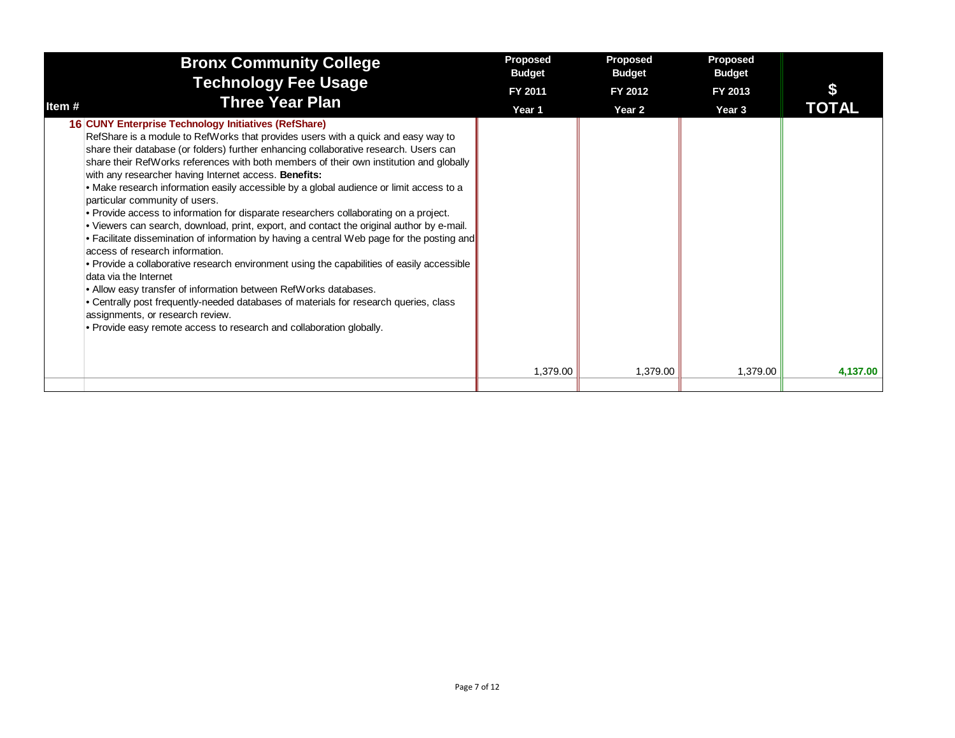| <b>Bronx Community College</b><br><b>Technology Fee Usage</b>                                                                                                                                                                                                                                                                                                                                                                                                                                                                                                                                                                                                                                                                                                                                                                                                                                                                                                                                                                                                                                                                                                                                                                              | Proposed<br><b>Budget</b> | Proposed<br><b>Budget</b> | <b>Proposed</b><br><b>Budget</b> |              |
|--------------------------------------------------------------------------------------------------------------------------------------------------------------------------------------------------------------------------------------------------------------------------------------------------------------------------------------------------------------------------------------------------------------------------------------------------------------------------------------------------------------------------------------------------------------------------------------------------------------------------------------------------------------------------------------------------------------------------------------------------------------------------------------------------------------------------------------------------------------------------------------------------------------------------------------------------------------------------------------------------------------------------------------------------------------------------------------------------------------------------------------------------------------------------------------------------------------------------------------------|---------------------------|---------------------------|----------------------------------|--------------|
|                                                                                                                                                                                                                                                                                                                                                                                                                                                                                                                                                                                                                                                                                                                                                                                                                                                                                                                                                                                                                                                                                                                                                                                                                                            | FY 2011                   | FY 2012                   | FY 2013                          |              |
| <b>Three Year Plan</b><br>Item #                                                                                                                                                                                                                                                                                                                                                                                                                                                                                                                                                                                                                                                                                                                                                                                                                                                                                                                                                                                                                                                                                                                                                                                                           | Year 1                    | Year <sub>2</sub>         | Year 3                           | <b>TOTAL</b> |
| 16 CUNY Enterprise Technology Initiatives (RefShare)<br>RefShare is a module to RefWorks that provides users with a quick and easy way to<br>share their database (or folders) further enhancing collaborative research. Users can<br>share their RefWorks references with both members of their own institution and globally<br>with any researcher having Internet access. Benefits:<br>• Make research information easily accessible by a global audience or limit access to a<br>particular community of users.<br>• Provide access to information for disparate researchers collaborating on a project.<br>. Viewers can search, download, print, export, and contact the original author by e-mail.<br>• Facilitate dissemination of information by having a central Web page for the posting and<br>access of research information.<br>• Provide a collaborative research environment using the capabilities of easily accessible<br>data via the Internet<br>• Allow easy transfer of information between RefWorks databases.<br>• Centrally post frequently-needed databases of materials for research queries, class<br>assignments, or research review.<br>. Provide easy remote access to research and collaboration globally. |                           |                           |                                  |              |
|                                                                                                                                                                                                                                                                                                                                                                                                                                                                                                                                                                                                                                                                                                                                                                                                                                                                                                                                                                                                                                                                                                                                                                                                                                            | 1,379.00                  | 1,379.00                  | 1,379.00                         | 4,137.00     |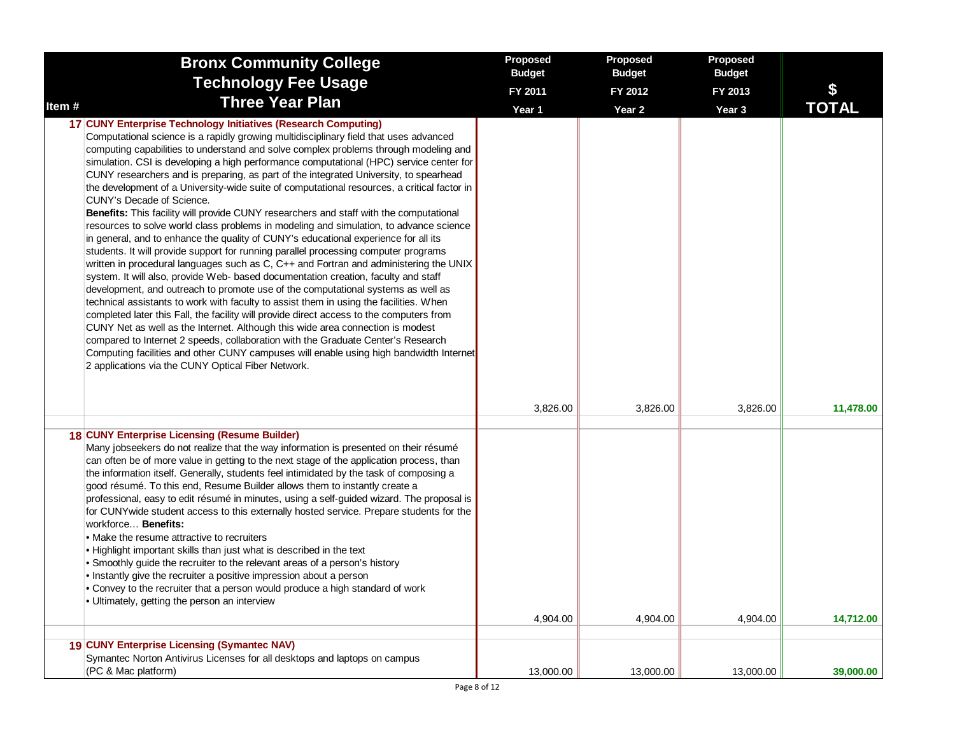|       | <b>Bronx Community College</b>                                                                                                                                                                                                                                                                                                                                                                                                                                                                                                                                                                                                                                                                                                                                                                                                                                                                                                                                                                                                                                                                                                                                                                                                                                                                                                                                                                                                                                                                                                                                                                                                                                                                                   | <b>Proposed</b><br><b>Budget</b> | Proposed<br><b>Budget</b> | Proposed<br><b>Budget</b> |              |
|-------|------------------------------------------------------------------------------------------------------------------------------------------------------------------------------------------------------------------------------------------------------------------------------------------------------------------------------------------------------------------------------------------------------------------------------------------------------------------------------------------------------------------------------------------------------------------------------------------------------------------------------------------------------------------------------------------------------------------------------------------------------------------------------------------------------------------------------------------------------------------------------------------------------------------------------------------------------------------------------------------------------------------------------------------------------------------------------------------------------------------------------------------------------------------------------------------------------------------------------------------------------------------------------------------------------------------------------------------------------------------------------------------------------------------------------------------------------------------------------------------------------------------------------------------------------------------------------------------------------------------------------------------------------------------------------------------------------------------|----------------------------------|---------------------------|---------------------------|--------------|
|       | <b>Technology Fee Usage</b>                                                                                                                                                                                                                                                                                                                                                                                                                                                                                                                                                                                                                                                                                                                                                                                                                                                                                                                                                                                                                                                                                                                                                                                                                                                                                                                                                                                                                                                                                                                                                                                                                                                                                      | FY 2011                          | FY 2012                   | FY 2013                   | \$           |
| Item# | <b>Three Year Plan</b>                                                                                                                                                                                                                                                                                                                                                                                                                                                                                                                                                                                                                                                                                                                                                                                                                                                                                                                                                                                                                                                                                                                                                                                                                                                                                                                                                                                                                                                                                                                                                                                                                                                                                           | Year 1                           | Year <sub>2</sub>         | Year 3                    | <b>TOTAL</b> |
|       | 17 CUNY Enterprise Technology Initiatives (Research Computing)<br>Computational science is a rapidly growing multidisciplinary field that uses advanced<br>computing capabilities to understand and solve complex problems through modeling and<br>simulation. CSI is developing a high performance computational (HPC) service center for<br>CUNY researchers and is preparing, as part of the integrated University, to spearhead<br>the development of a University-wide suite of computational resources, a critical factor in<br>CUNY's Decade of Science.<br>Benefits: This facility will provide CUNY researchers and staff with the computational<br>resources to solve world class problems in modeling and simulation, to advance science<br>in general, and to enhance the quality of CUNY's educational experience for all its<br>students. It will provide support for running parallel processing computer programs<br>written in procedural languages such as C, C++ and Fortran and administering the UNIX<br>system. It will also, provide Web- based documentation creation, faculty and staff<br>development, and outreach to promote use of the computational systems as well as<br>technical assistants to work with faculty to assist them in using the facilities. When<br>completed later this Fall, the facility will provide direct access to the computers from<br>CUNY Net as well as the Internet. Although this wide area connection is modest<br>compared to Internet 2 speeds, collaboration with the Graduate Center's Research<br>Computing facilities and other CUNY campuses will enable using high bandwidth Internet<br>2 applications via the CUNY Optical Fiber Network. |                                  |                           |                           |              |
|       |                                                                                                                                                                                                                                                                                                                                                                                                                                                                                                                                                                                                                                                                                                                                                                                                                                                                                                                                                                                                                                                                                                                                                                                                                                                                                                                                                                                                                                                                                                                                                                                                                                                                                                                  | 3,826.00                         | 3,826.00                  | 3,826.00                  | 11,478.00    |
|       | 18 CUNY Enterprise Licensing (Resume Builder)<br>Many jobseekers do not realize that the way information is presented on their résumé<br>can often be of more value in getting to the next stage of the application process, than<br>the information itself. Generally, students feel intimidated by the task of composing a<br>good résumé. To this end, Resume Builder allows them to instantly create a<br>professional, easy to edit résumé in minutes, using a self-guided wizard. The proposal is<br>for CUNYwide student access to this externally hosted service. Prepare students for the<br>workforce Benefits:<br>• Make the resume attractive to recruiters<br>. Highlight important skills than just what is described in the text<br>• Smoothly guide the recruiter to the relevant areas of a person's history<br>• Instantly give the recruiter a positive impression about a person<br>. Convey to the recruiter that a person would produce a high standard of work<br>• Ultimately, getting the person an interview                                                                                                                                                                                                                                                                                                                                                                                                                                                                                                                                                                                                                                                                           | 4,904.00                         | 4,904.00                  | 4,904.00                  | 14,712.00    |
|       | 19 CUNY Enterprise Licensing (Symantec NAV)<br>Symantec Norton Antivirus Licenses for all desktops and laptops on campus<br>(PC & Mac platform)                                                                                                                                                                                                                                                                                                                                                                                                                                                                                                                                                                                                                                                                                                                                                                                                                                                                                                                                                                                                                                                                                                                                                                                                                                                                                                                                                                                                                                                                                                                                                                  | 13,000.00                        | 13,000.00                 | 13,000.00                 | 39,000.00    |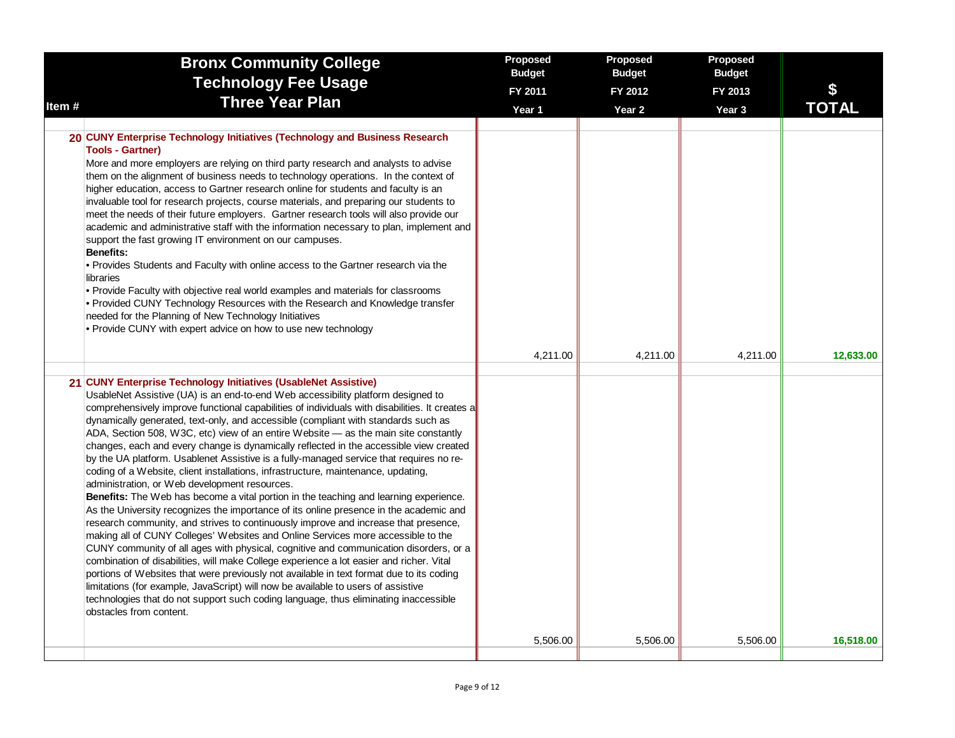| Item# | <b>Bronx Community College</b><br><b>Technology Fee Usage</b><br><b>Three Year Plan</b>                                                                                                                                                                                                                                                                                                                                                                                                                                                                                                                                                                                                                                                                                                                                                                                                                                                                                                                                                                                                                                                                                                                                                                                                                                                                                                                                                                                                                                                                                                                              | Proposed<br><b>Budget</b><br>FY 2011<br>Year 1 | Proposed<br><b>Budget</b><br>FY 2012<br>Year <sub>2</sub> | Proposed<br><b>Budget</b><br>FY 2013<br>Year <sub>3</sub> | \$<br><b>TOTAL</b> |
|-------|----------------------------------------------------------------------------------------------------------------------------------------------------------------------------------------------------------------------------------------------------------------------------------------------------------------------------------------------------------------------------------------------------------------------------------------------------------------------------------------------------------------------------------------------------------------------------------------------------------------------------------------------------------------------------------------------------------------------------------------------------------------------------------------------------------------------------------------------------------------------------------------------------------------------------------------------------------------------------------------------------------------------------------------------------------------------------------------------------------------------------------------------------------------------------------------------------------------------------------------------------------------------------------------------------------------------------------------------------------------------------------------------------------------------------------------------------------------------------------------------------------------------------------------------------------------------------------------------------------------------|------------------------------------------------|-----------------------------------------------------------|-----------------------------------------------------------|--------------------|
|       |                                                                                                                                                                                                                                                                                                                                                                                                                                                                                                                                                                                                                                                                                                                                                                                                                                                                                                                                                                                                                                                                                                                                                                                                                                                                                                                                                                                                                                                                                                                                                                                                                      |                                                |                                                           |                                                           |                    |
|       | 20 CUNY Enterprise Technology Initiatives (Technology and Business Research<br><b>Tools - Gartner)</b><br>More and more employers are relying on third party research and analysts to advise<br>them on the alignment of business needs to technology operations. In the context of<br>higher education, access to Gartner research online for students and faculty is an<br>invaluable tool for research projects, course materials, and preparing our students to<br>meet the needs of their future employers. Gartner research tools will also provide our<br>academic and administrative staff with the information necessary to plan, implement and<br>support the fast growing IT environment on our campuses.<br><b>Benefits:</b><br>• Provides Students and Faculty with online access to the Gartner research via the<br>libraries<br>• Provide Faculty with objective real world examples and materials for classrooms<br>• Provided CUNY Technology Resources with the Research and Knowledge transfer<br>needed for the Planning of New Technology Initiatives<br>• Provide CUNY with expert advice on how to use new technology                                                                                                                                                                                                                                                                                                                                                                                                                                                                         |                                                |                                                           |                                                           |                    |
|       |                                                                                                                                                                                                                                                                                                                                                                                                                                                                                                                                                                                                                                                                                                                                                                                                                                                                                                                                                                                                                                                                                                                                                                                                                                                                                                                                                                                                                                                                                                                                                                                                                      | 4,211.00                                       | 4,211.00                                                  | 4,211.00                                                  | 12,633.00          |
|       | 21 CUNY Enterprise Technology Initiatives (UsableNet Assistive)<br>UsableNet Assistive (UA) is an end-to-end Web accessibility platform designed to<br>comprehensively improve functional capabilities of individuals with disabilities. It creates a<br>dynamically generated, text-only, and accessible (compliant with standards such as<br>ADA, Section 508, W3C, etc) view of an entire Website — as the main site constantly<br>changes, each and every change is dynamically reflected in the accessible view created<br>by the UA platform. Usablenet Assistive is a fully-managed service that requires no re-<br>coding of a Website, client installations, infrastructure, maintenance, updating,<br>administration, or Web development resources.<br>Benefits: The Web has become a vital portion in the teaching and learning experience.<br>As the University recognizes the importance of its online presence in the academic and<br>research community, and strives to continuously improve and increase that presence,<br>making all of CUNY Colleges' Websites and Online Services more accessible to the<br>CUNY community of all ages with physical, cognitive and communication disorders, or a<br>combination of disabilities, will make College experience a lot easier and richer. Vital<br>portions of Websites that were previously not available in text format due to its coding<br>limitations (for example, JavaScript) will now be available to users of assistive<br>technologies that do not support such coding language, thus eliminating inaccessible<br>obstacles from content. |                                                |                                                           |                                                           |                    |
|       |                                                                                                                                                                                                                                                                                                                                                                                                                                                                                                                                                                                                                                                                                                                                                                                                                                                                                                                                                                                                                                                                                                                                                                                                                                                                                                                                                                                                                                                                                                                                                                                                                      | 5,506.00                                       | 5,506.00                                                  | 5,506.00                                                  | 16,518.00          |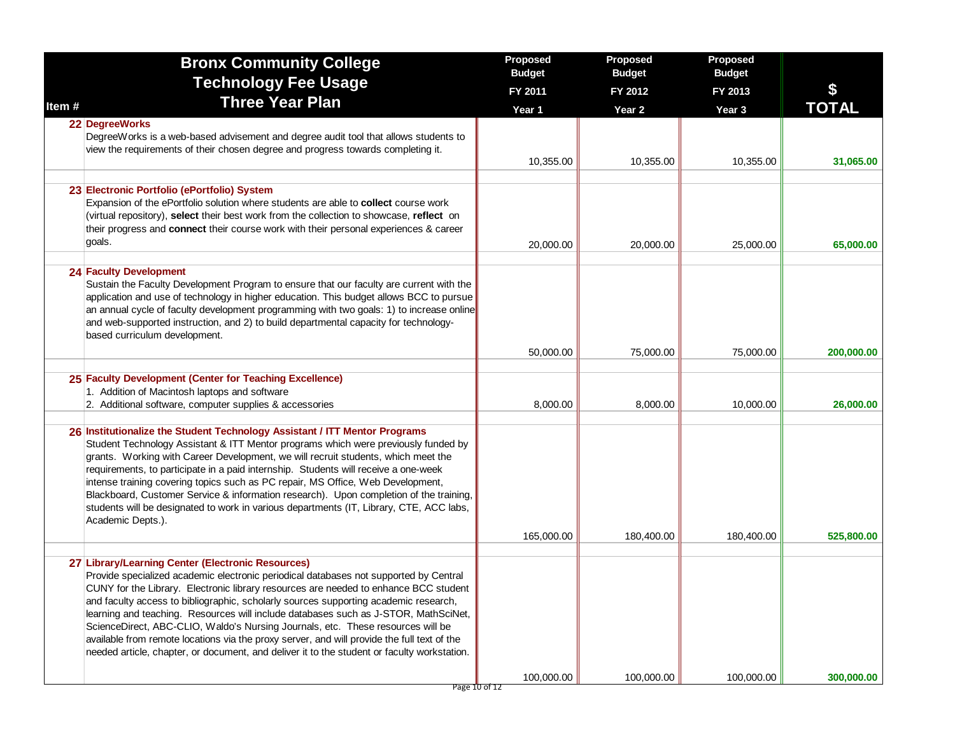|       | <b>Bronx Community College</b>                                                                                                                                                                                                                                                                                                                                                                                                                                                                                                                                                                                                                                                                     | Proposed<br><b>Budget</b> | Proposed<br><b>Budget</b> | Proposed<br><b>Budget</b> |              |
|-------|----------------------------------------------------------------------------------------------------------------------------------------------------------------------------------------------------------------------------------------------------------------------------------------------------------------------------------------------------------------------------------------------------------------------------------------------------------------------------------------------------------------------------------------------------------------------------------------------------------------------------------------------------------------------------------------------------|---------------------------|---------------------------|---------------------------|--------------|
|       | <b>Technology Fee Usage</b>                                                                                                                                                                                                                                                                                                                                                                                                                                                                                                                                                                                                                                                                        | FY 2011                   | FY 2012                   | FY 2013                   | \$           |
| Item# | <b>Three Year Plan</b>                                                                                                                                                                                                                                                                                                                                                                                                                                                                                                                                                                                                                                                                             | Year 1                    | Year <sub>2</sub>         | Year 3                    | <b>TOTAL</b> |
|       | 22 DegreeWorks<br>DegreeWorks is a web-based advisement and degree audit tool that allows students to<br>view the requirements of their chosen degree and progress towards completing it.                                                                                                                                                                                                                                                                                                                                                                                                                                                                                                          | 10,355.00                 | 10,355.00                 | 10,355.00                 | 31,065.00    |
|       |                                                                                                                                                                                                                                                                                                                                                                                                                                                                                                                                                                                                                                                                                                    |                           |                           |                           |              |
|       | 23 Electronic Portfolio (ePortfolio) System<br>Expansion of the ePortfolio solution where students are able to collect course work<br>(virtual repository), select their best work from the collection to showcase, reflect on<br>their progress and connect their course work with their personal experiences & career<br>goals.                                                                                                                                                                                                                                                                                                                                                                  | 20,000.00                 | 20,000.00                 | 25,000.00                 | 65,000.00    |
|       | <b>24 Faculty Development</b><br>Sustain the Faculty Development Program to ensure that our faculty are current with the<br>application and use of technology in higher education. This budget allows BCC to pursue<br>an annual cycle of faculty development programming with two goals: 1) to increase online<br>and web-supported instruction, and 2) to build departmental capacity for technology-<br>based curriculum development.                                                                                                                                                                                                                                                           |                           |                           |                           |              |
|       |                                                                                                                                                                                                                                                                                                                                                                                                                                                                                                                                                                                                                                                                                                    | 50,000.00                 | 75,000.00                 | 75,000.00                 | 200,000.00   |
|       |                                                                                                                                                                                                                                                                                                                                                                                                                                                                                                                                                                                                                                                                                                    |                           |                           |                           |              |
|       | 25 Faculty Development (Center for Teaching Excellence)<br>1. Addition of Macintosh laptops and software<br>2. Additional software, computer supplies & accessories                                                                                                                                                                                                                                                                                                                                                                                                                                                                                                                                | 8,000.00                  | 8,000.00                  | 10,000.00                 | 26,000.00    |
|       | 26 Institutionalize the Student Technology Assistant / ITT Mentor Programs<br>Student Technology Assistant & ITT Mentor programs which were previously funded by<br>grants. Working with Career Development, we will recruit students, which meet the<br>requirements, to participate in a paid internship. Students will receive a one-week<br>intense training covering topics such as PC repair, MS Office, Web Development,<br>Blackboard, Customer Service & information research). Upon completion of the training,<br>students will be designated to work in various departments (IT, Library, CTE, ACC labs,<br>Academic Depts.).                                                          |                           |                           |                           |              |
|       |                                                                                                                                                                                                                                                                                                                                                                                                                                                                                                                                                                                                                                                                                                    | 165,000.00                | 180,400.00                | 180,400.00                | 525,800.00   |
|       | 27 Library/Learning Center (Electronic Resources)<br>Provide specialized academic electronic periodical databases not supported by Central<br>CUNY for the Library. Electronic library resources are needed to enhance BCC student<br>and faculty access to bibliographic, scholarly sources supporting academic research,<br>learning and teaching. Resources will include databases such as J-STOR, MathSciNet,<br>ScienceDirect, ABC-CLIO, Waldo's Nursing Journals, etc. These resources will be<br>available from remote locations via the proxy server, and will provide the full text of the<br>needed article, chapter, or document, and deliver it to the student or faculty workstation. | 100,000.00                | 100,000.00                | 100,000.00                | 300,000.00   |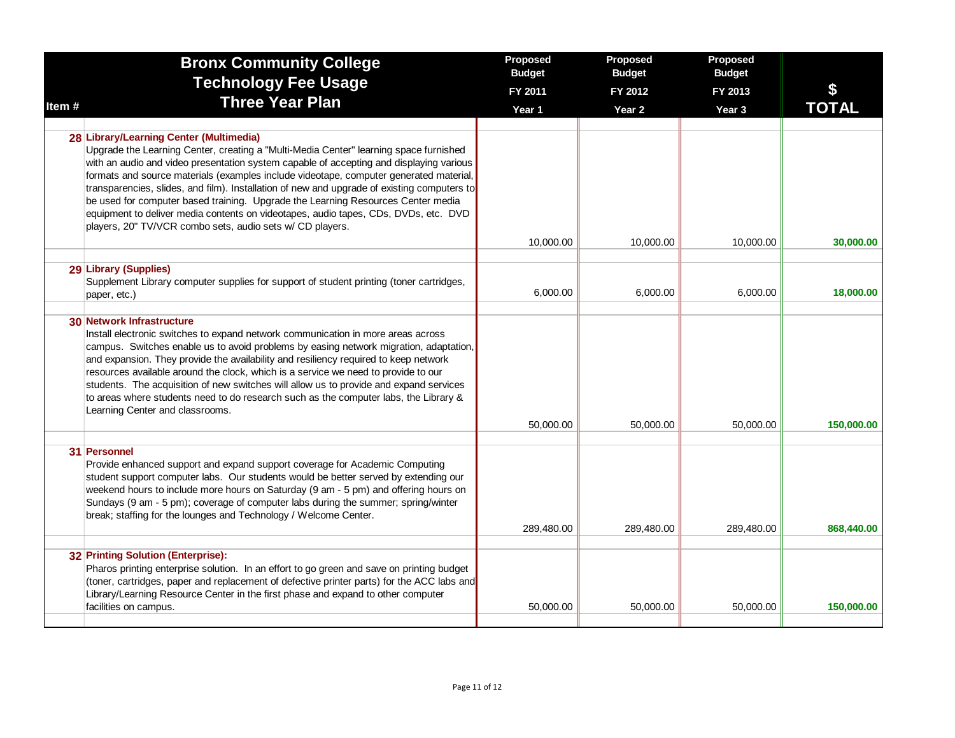|       | <b>Bronx Community College</b><br><b>Technology Fee Usage</b>                                                                                                                                                                                                                                                                                                                                                                                                                                                                                                                                                                                                | Proposed<br><b>Budget</b> | Proposed<br><b>Budget</b>    | Proposed<br><b>Budget</b> |                    |
|-------|--------------------------------------------------------------------------------------------------------------------------------------------------------------------------------------------------------------------------------------------------------------------------------------------------------------------------------------------------------------------------------------------------------------------------------------------------------------------------------------------------------------------------------------------------------------------------------------------------------------------------------------------------------------|---------------------------|------------------------------|---------------------------|--------------------|
| Item# | <b>Three Year Plan</b>                                                                                                                                                                                                                                                                                                                                                                                                                                                                                                                                                                                                                                       | FY 2011<br>Year 1         | FY 2012<br>Year <sub>2</sub> | FY 2013<br>Year 3         | \$<br><b>TOTAL</b> |
|       |                                                                                                                                                                                                                                                                                                                                                                                                                                                                                                                                                                                                                                                              |                           |                              |                           |                    |
|       | 28 Library/Learning Center (Multimedia)<br>Upgrade the Learning Center, creating a "Multi-Media Center" learning space furnished<br>with an audio and video presentation system capable of accepting and displaying various<br>formats and source materials (examples include videotape, computer generated material,<br>transparencies, slides, and film). Installation of new and upgrade of existing computers to<br>be used for computer based training. Upgrade the Learning Resources Center media<br>equipment to deliver media contents on videotapes, audio tapes, CDs, DVDs, etc. DVD<br>players, 20" TV/VCR combo sets, audio sets w/ CD players. |                           |                              |                           |                    |
|       |                                                                                                                                                                                                                                                                                                                                                                                                                                                                                                                                                                                                                                                              | 10,000.00                 | 10,000.00                    | 10,000.00                 | 30,000,00          |
|       | 29 Library (Supplies)<br>Supplement Library computer supplies for support of student printing (toner cartridges,<br>paper, etc.)                                                                                                                                                                                                                                                                                                                                                                                                                                                                                                                             | 6,000.00                  | 6,000.00                     | 6,000.00                  | 18,000.00          |
|       | 30 Network Infrastructure<br>Install electronic switches to expand network communication in more areas across<br>campus. Switches enable us to avoid problems by easing network migration, adaptation,<br>and expansion. They provide the availability and resiliency required to keep network<br>resources available around the clock, which is a service we need to provide to our<br>students. The acquisition of new switches will allow us to provide and expand services<br>to areas where students need to do research such as the computer labs, the Library &<br>Learning Center and classrooms.                                                    | 50,000.00                 | 50,000.00                    | 50,000.00                 | 150,000.00         |
|       | 31 Personnel<br>Provide enhanced support and expand support coverage for Academic Computing<br>student support computer labs. Our students would be better served by extending our<br>weekend hours to include more hours on Saturday (9 am - 5 pm) and offering hours on<br>Sundays (9 am - 5 pm); coverage of computer labs during the summer; spring/winter<br>break; staffing for the lounges and Technology / Welcome Center.                                                                                                                                                                                                                           | 289,480.00                | 289,480.00                   | 289,480.00                | 868,440.00         |
|       | 32 Printing Solution (Enterprise):<br>Pharos printing enterprise solution. In an effort to go green and save on printing budget<br>(toner, cartridges, paper and replacement of defective printer parts) for the ACC labs and<br>Library/Learning Resource Center in the first phase and expand to other computer<br>facilities on campus.                                                                                                                                                                                                                                                                                                                   | 50,000.00                 | 50,000.00                    | 50,000.00                 | 150,000.00         |